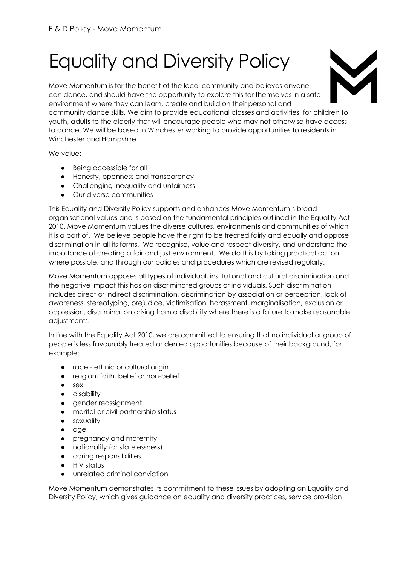# Equality and Diversity Policy

Move Momentum is for the benefit of the local community and believes anyone can dance, and should have the opportunity to explore this for themselves in a safe environment where they can learn, create and build on their personal and community dance skills. We aim to provide educational classes and activities, for children to youth, adults to the elderly that will encourage people who may not otherwise have access to dance. We will be based in Winchester working to provide opportunities to residents in Winchester and Hampshire.

We value:

- Being accessible for all
- Honesty, openness and transparency
- Challenging inequality and unfairness
- Our diverse communities

This Equality and Diversity Policy supports and enhances Move Momentum's broad organisational values and is based on the fundamental principles outlined in the Equality Act 2010. Move Momentum values the diverse cultures, environments and communities of which it is a part of. We believe people have the right to be treated fairly and equally and oppose discrimination in all its forms. We recognise, value and respect diversity, and understand the importance of creating a fair and just environment. We do this by taking practical action where possible, and through our policies and procedures which are revised regularly.

Move Momentum opposes all types of individual, institutional and cultural discrimination and the negative impact this has on discriminated groups or individuals. Such discrimination includes direct or indirect discrimination, discrimination by association or perception, lack of awareness, stereotyping, prejudice, victimisation, harassment, marginalisation, exclusion or oppression, discrimination arising from a disability where there is a failure to make reasonable adjustments.

In line with the Equality Act 2010, we are committed to ensuring that no individual or group of people is less favourably treated or denied opportunities because of their background, for example:

- race ethnic or cultural origin
- religion, faith, belief or non-belief
- sex
- **•** disability
- gender reassignment
- marital or civil partnership status
- sexuality
- age
- pregnancy and maternity
- nationality (or statelessness)
- caring responsibilities
- HIV status
- unrelated criminal conviction

Move Momentum demonstrates its commitment to these issues by adopting an Equality and Diversity Policy, which gives guidance on equality and diversity practices, service provision

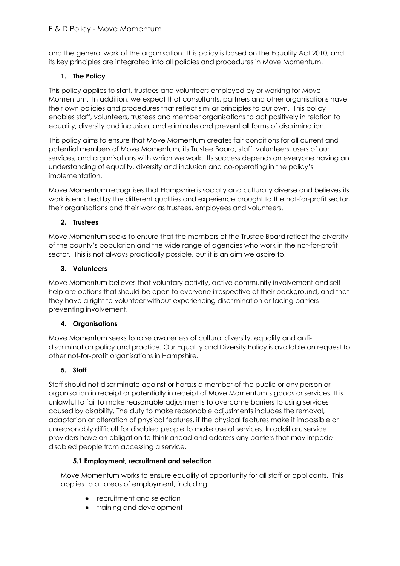and the general work of the organisation. This policy is based on the Equality Act 2010, and its key principles are integrated into all policies and procedures in Move Momentum.

## **1. The Policy**

This policy applies to staff, trustees and volunteers employed by or working for Move Momentum. In addition, we expect that consultants, partners and other organisations have their own policies and procedures that reflect similar principles to our own. This policy enables staff, volunteers, trustees and member organisations to act positively in relation to equality, diversity and inclusion, and eliminate and prevent all forms of discrimination.

This policy aims to ensure that Move Momentum creates fair conditions for all current and potential members of Move Momentum, its Trustee Board, staff, volunteers, users of our services, and organisations with which we work. Its success depends on everyone having an understanding of equality, diversity and inclusion and co-operating in the policy's implementation.

Move Momentum recognises that Hampshire is socially and culturally diverse and believes its work is enriched by the different qualities and experience brought to the not-for-profit sector, their organisations and their work as trustees, employees and volunteers.

## **2. Trustees**

Move Momentum seeks to ensure that the members of the Trustee Board reflect the diversity of the county's population and the wide range of agencies who work in the not-for-profit sector. This is not always practically possible, but it is an aim we aspire to.

## **3. Volunteers**

Move Momentum believes that voluntary activity, active community involvement and selfhelp are options that should be open to everyone irrespective of their background, and that they have a right to volunteer without experiencing discrimination or facing barriers preventing involvement.

## **4. Organisations**

Move Momentum seeks to raise awareness of cultural diversity, equality and antidiscrimination policy and practice. Our Equality and Diversity Policy is available on request to other not-for-profit organisations in Hampshire.

## **5. Staff**

Staff should not discriminate against or harass a member of the public or any person or organisation in receipt or potentially in receipt of Move Momentum's goods or services. It is unlawful to fail to make reasonable adjustments to overcome barriers to using services caused by disability. The duty to make reasonable adjustments includes the removal, adaptation or alteration of physical features, if the physical features make it impossible or unreasonably difficult for disabled people to make use of services. In addition, service providers have an obligation to think ahead and address any barriers that may impede disabled people from accessing a service.

## **5.1 Employment, recruitment and selection**

Move Momentum works to ensure equality of opportunity for all staff or applicants. This applies to all areas of employment, including:

- recruitment and selection
- training and development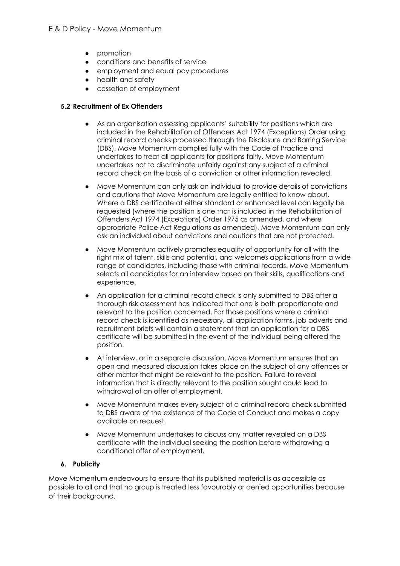- promotion
- conditions and benefits of service
- employment and equal pay procedures
- health and safety
- cessation of employment

#### **5.2 Recruitment of Ex Offenders**

- As an organisation assessing applicants' suitability for positions which are included in the Rehabilitation of Offenders Act 1974 (Exceptions) Order using criminal record checks processed through the Disclosure and Barring Service (DBS), Move Momentum complies fully with the Code of Practice and undertakes to treat all applicants for positions fairly. Move Momentum undertakes not to discriminate unfairly against any subject of a criminal record check on the basis of a conviction or other information revealed.
- Move Momentum can only ask an individual to provide details of convictions and cautions that Move Momentum are legally entitled to know about. Where a DBS certificate at either standard or enhanced level can legally be requested (where the position is one that is included in the Rehabilitation of Offenders Act 1974 (Exceptions) Order 1975 as amended, and where appropriate Police Act Regulations as amended), Move Momentum can only ask an individual about convictions and cautions that are not protected.
- Move Momentum actively promotes equality of opportunity for all with the right mix of talent, skills and potential, and welcomes applications from a wide range of candidates, including those with criminal records. Move Momentum selects all candidates for an interview based on their skills, qualifications and experience.
- An application for a criminal record check is only submitted to DBS after a thorough risk assessment has indicated that one is both proportionate and relevant to the position concerned. For those positions where a criminal record check is identified as necessary, all application forms, job adverts and recruitment briefs will contain a statement that an application for a DBS certificate will be submitted in the event of the individual being offered the position.
- At interview, or in a separate discussion, Move Momentum ensures that an open and measured discussion takes place on the subject of any offences or other matter that might be relevant to the position. Failure to reveal information that is directly relevant to the position sought could lead to withdrawal of an offer of employment.
- Move Momentum makes every subject of a criminal record check submitted to DBS aware of the existence of the Code of Conduct and makes a copy available on request.
- Move Momentum undertakes to discuss any matter revealed on a DBS certificate with the individual seeking the position before withdrawing a conditional offer of employment.

## **6. Publicity**

Move Momentum endeavours to ensure that its published material is as accessible as possible to all and that no group is treated less favourably or denied opportunities because of their background.